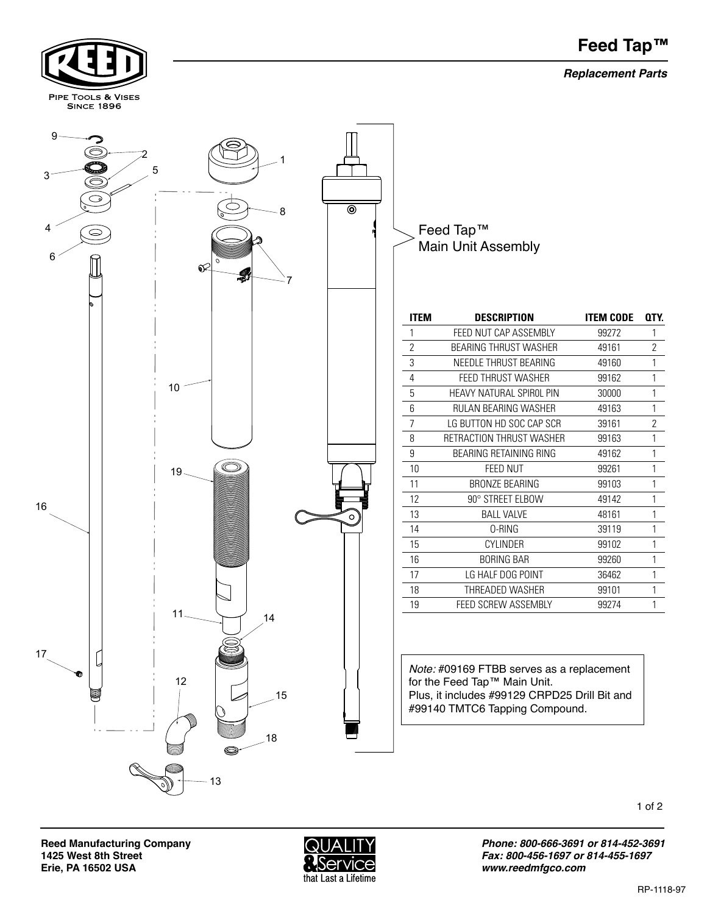## **Feed Tap™**

*Replacement Parts*



**Reed Manufacturing Company 1425 West 8th Street Erie, PA 16502 USA** 

PIPE TOOLS & VISES



*Phone: 800-666-3691 or 814-452-3691 Fax: 800-456-1697 or 814-455-1697 www.reedmfgco.com*